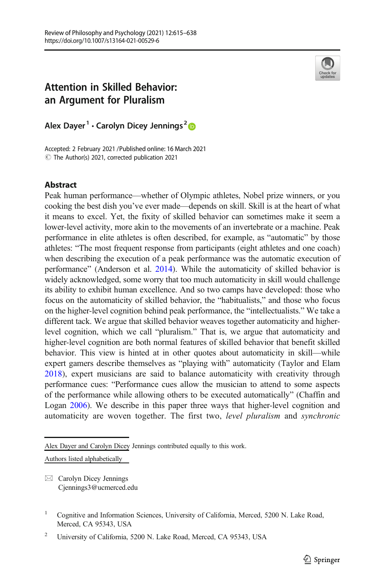

# Attention in Skilled Behavior: an Argument for Pluralism

Alex Dayer<sup>1</sup> • Carolyn Dicey Jennings<sup>2</sup>

Accepted: 2 February 2021 / Published online: 16 March 2021  $\odot$  The Author(s) 2021, corrected publication 2021

## Abstract

Peak human performance—whether of Olympic athletes, Nobel prize winners, or you cooking the best dish you've ever made—depends on skill. Skill is at the heart of what it means to excel. Yet, the fixity of skilled behavior can sometimes make it seem a lower-level activity, more akin to the movements of an invertebrate or a machine. Peak performance in elite athletes is often described, for example, as "automatic" by those athletes: "The most frequent response from participants (eight athletes and one coach) when describing the execution of a peak performance was the automatic execution of performance" (Anderson et al. [2014\)](#page-20-0). While the automaticity of skilled behavior is widely acknowledged, some worry that too much automaticity in skill would challenge its ability to exhibit human excellence. And so two camps have developed: those who focus on the automaticity of skilled behavior, the "habitualists," and those who focus on the higher-level cognition behind peak performance, the "intellectualists." We take a different tack. We argue that skilled behavior weaves together automaticity and higherlevel cognition, which we call "pluralism." That is, we argue that automaticity and higher-level cognition are both normal features of skilled behavior that benefit skilled behavior. This view is hinted at in other quotes about automaticity in skill—while expert gamers describe themselves as "playing with" automaticity (Taylor and Elam [2018](#page-23-0)), expert musicians are said to balance automaticity with creativity through performance cues: "Performance cues allow the musician to attend to some aspects of the performance while allowing others to be executed automatically" (Chaffin and Logan [2006](#page-21-0)). We describe in this paper three ways that higher-level cognition and automaticity are woven together. The first two, level pluralism and synchronic

Alex Dayer and Carolyn Dicey Jennings contributed equally to this work.

Authors listed alphabetically

 $\boxtimes$  Carolyn Dicey Jennings [Cjennings3@ucmerced.edu](mailto:Cjennings3@ucmerced.edu)

<sup>&</sup>lt;sup>1</sup> Cognitive and Information Sciences, University of California, Merced, 5200 N. Lake Road, Merced, CA 95343, USA

<sup>&</sup>lt;sup>2</sup> University of California, 5200 N. Lake Road, Merced, CA 95343, USA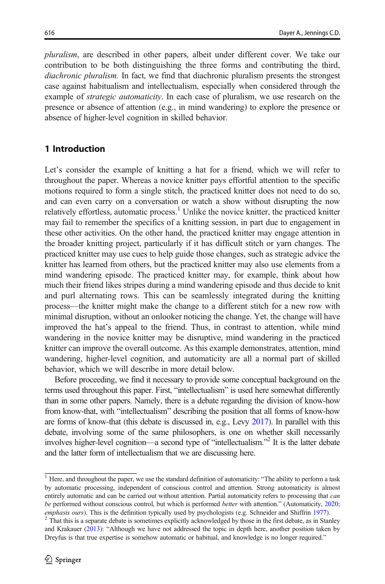pluralism, are described in other papers, albeit under different cover. We take our contribution to be both distinguishing the three forms and contributing the third, diachronic pluralism. In fact, we find that diachronic pluralism presents the strongest case against habitualism and intellectualism, especially when considered through the example of *strategic automaticity*. In each case of pluralism, we use research on the presence or absence of attention (e.g., in mind wandering) to explore the presence or absence of higher-level cognition in skilled behavior.

## 1 Introduction

Let's consider the example of knitting a hat for a friend, which we will refer to throughout the paper. Whereas a novice knitter pays effortful attention to the specific motions required to form a single stitch, the practiced knitter does not need to do so, and can even carry on a conversation or watch a show without disrupting the now relatively effortless, automatic process.<sup>1</sup> Unlike the novice knitter, the practiced knitter may fail to remember the specifics of a knitting session, in part due to engagement in these other activities. On the other hand, the practiced knitter may engage attention in the broader knitting project, particularly if it has difficult stitch or yarn changes. The practiced knitter may use cues to help guide those changes, such as strategic advice the knitter has learned from others, but the practiced knitter may also use elements from a mind wandering episode. The practiced knitter may, for example, think about how much their friend likes stripes during a mind wandering episode and thus decide to knit and purl alternating rows. This can be seamlessly integrated during the knitting process—the knitter might make the change to a different stitch for a new row with minimal disruption, without an onlooker noticing the change. Yet, the change will have improved the hat's appeal to the friend. Thus, in contrast to attention, while mind wandering in the novice knitter may be disruptive, mind wandering in the practiced knitter can improve the overall outcome. As this example demonstrates, attention, mind wandering, higher-level cognition, and automaticity are all a normal part of skilled behavior, which we will describe in more detail below.

Before proceeding, we find it necessary to provide some conceptual background on the terms used throughout this paper. First, "intellectualism" is used here somewhat differently than in some other papers. Namely, there is a debate regarding the division of know-how from know-that, with "intellectualism" describing the position that all forms of know-how are forms of know-that (this debate is discussed in, e.g., Levy [2017](#page-22-0)). In parallel with this debate, involving some of the same philosophers, is one on whether skill necessarily involves higher-level cognition—a second type of "intellectualism." <sup>2</sup> It is the latter debate and the latter form of intellectualism that we are discussing here.

 $1$  Here, and throughout the paper, we use the standard definition of automaticity: "The ability to perform a task by automatic processing, independent of conscious control and attention. Strong automaticity is almost entirely automatic and can be carried out without attention. Partial automaticity refers to processing that *can* be performed without conscious control, but which is performed *better* with attention." (Automaticity, [2020](#page-21-0); emphasis ours). This is the definition typically used by psychologists (e.g. Schneider and Shiffrin [1977\)](#page-22-0). <sup>2</sup> That this is a separate debate is sometimes explicitly acknowledged by those in the first debate, as in Stanle

and Krakauer ([2013](#page-23-0)): "Although we have not addressed the topic in depth here, another position taken by Dreyfus is that true expertise is somehow automatic or habitual, and knowledge is no longer required."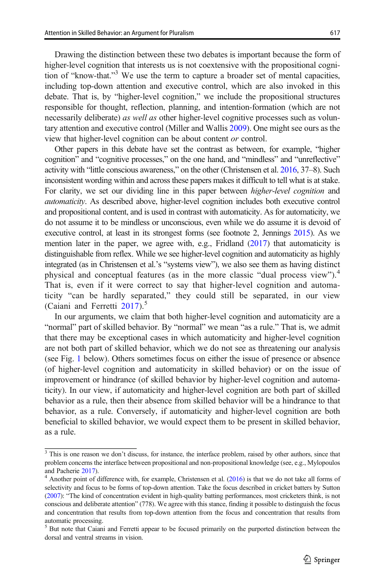Drawing the distinction between these two debates is important because the form of higher-level cognition that interests us is not coextensive with the propositional cognition of "know-that." <sup>3</sup> We use the term to capture a broader set of mental capacities, including top-down attention and executive control, which are also invoked in this debate. That is, by "higher-level cognition," we include the propositional structures responsible for thought, reflection, planning, and intention-formation (which are not necessarily deliberate) as well as other higher-level cognitive processes such as voluntary attention and executive control (Miller and Wallis [2009\)](#page-22-0). One might see ours as the view that higher-level cognition can be about content or control.

Other papers in this debate have set the contrast as between, for example, "higher cognition" and "cognitive processes," on the one hand, and "mindless" and "unreflective" activity with "little conscious awareness," on the other (Christensen et al. [2016,](#page-21-0) 37–8). Such inconsistent wording within and across these papers makes it difficult to tell what is at stake. For clarity, we set our dividing line in this paper between higher-level cognition and automaticity. As described above, higher-level cognition includes both executive control and propositional content, and is used in contrast with automaticity. As for automaticity, we do not assume it to be mindless or unconscious, even while we do assume it is devoid of executive control, at least in its strongest forms (see footnote 2, Jennings [2015](#page-22-0)). As we mention later in the paper, we agree with, e.g., Fridland ([2017\)](#page-22-0) that automaticity is distinguishable from reflex. While we see higher-level cognition and automaticity as highly integrated (as in Christensen et al.'s "systems view"), we also see them as having distinct physical and conceptual features (as in the more classic "dual process view").<sup>4</sup> That is, even if it were correct to say that higher-level cognition and automaticity "can be hardly separated," they could still be separated, in our view (Caiani and Ferretti  $2017$ ).<sup>5</sup>

In our arguments, we claim that both higher-level cognition and automaticity are a "normal" part of skilled behavior. By "normal" we mean "as a rule." That is, we admit that there may be exceptional cases in which automaticity and higher-level cognition are not both part of skilled behavior, which we do not see as threatening our analysis (see Fig. [1](#page-3-0) below). Others sometimes focus on either the issue of presence or absence (of higher-level cognition and automaticity in skilled behavior) or on the issue of improvement or hindrance (of skilled behavior by higher-level cognition and automaticity). In our view, if automaticity and higher-level cognition are both part of skilled behavior as a rule, then their absence from skilled behavior will be a hindrance to that behavior, as a rule. Conversely, if automaticity and higher-level cognition are both beneficial to skilled behavior, we would expect them to be present in skilled behavior, as a rule.

 $\frac{3}{3}$  This is one reason we don't discuss, for instance, the interface problem, raised by other authors, since that problem concerns the interface between propositional and non-propositional knowledge (see, e.g., Mylopoulos and Pacherie [2017\)](#page-22-0).<br><sup>4</sup> Another point of difference with, for example, Christensen et al. ([2016](#page-21-0)) is that we do not take all forms of

selectivity and focus to be forms of top-down attention. Take the focus described in cricket batters by Sutton ([2007\)](#page-23-0): "The kind of concentration evident in high-quality batting performances, most cricketers think, is not conscious and deliberate attention" (778). We agree with this stance, finding it possible to distinguish the focus and concentration that results from top-down attention from the focus and concentration that results from automatic processing.

<sup>&</sup>lt;sup>5</sup> But note that Caiani and Ferretti appear to be focused primarily on the purported distinction between the dorsal and ventral streams in vision.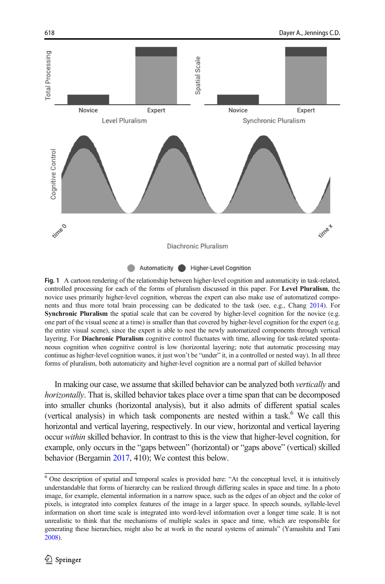<span id="page-3-0"></span>

Fig. 1 A cartoon rendering of the relationship between higher-level cognition and automaticity in task-related, controlled processing for each of the forms of pluralism discussed in this paper. For Level Pluralism, the novice uses primarily higher-level cognition, whereas the expert can also make use of automatized components and thus more total brain processing can be dedicated to the task (see, e.g., Chang [2014](#page-21-0)). For Synchronic Pluralism the spatial scale that can be covered by higher-level cognition for the novice (e.g. one part of the visual scene at a time) is smaller than that covered by higher-level cognition for the expert (e.g. the entire visual scene), since the expert is able to nest the newly automatized components through vertical layering. For **Diachronic Pluralism** cognitive control fluctuates with time, allowing for task-related spontaneous cognition when cognitive control is low (horizontal layering; note that automatic processing may continue as higher-level cognition wanes, it just won't be "under" it, in a controlled or nested way). In all three forms of pluralism, both automaticity and higher-level cognition are a normal part of skilled behavior

In making our case, we assume that skilled behavior can be analyzed both vertically and horizontally. That is, skilled behavior takes place over a time span that can be decomposed into smaller chunks (horizontal analysis), but it also admits of different spatial scales (vertical analysis) in which task components are nested within a task. $6$  We call this horizontal and vertical layering, respectively. In our view, horizontal and vertical layering occur within skilled behavior. In contrast to this is the view that higher-level cognition, for example, only occurs in the "gaps between" (horizontal) or "gaps above" (vertical) skilled behavior (Bergamin [2017,](#page-21-0) 410); We contest this below.

<sup>6</sup> One description of spatial and temporal scales is provided here: "At the conceptual level, it is intuitively understandable that forms of hierarchy can be realized through differing scales in space and time. In a photo image, for example, elemental information in a narrow space, such as the edges of an object and the color of pixels, is integrated into complex features of the image in a larger space. In speech sounds, syllable-level information on short time scale is integrated into word-level information over a longer time scale. It is not unrealistic to think that the mechanisms of multiple scales in space and time, which are responsible for generating these hierarchies, might also be at work in the neural systems of animals" (Yamashita and Tani [2008\)](#page-23-0).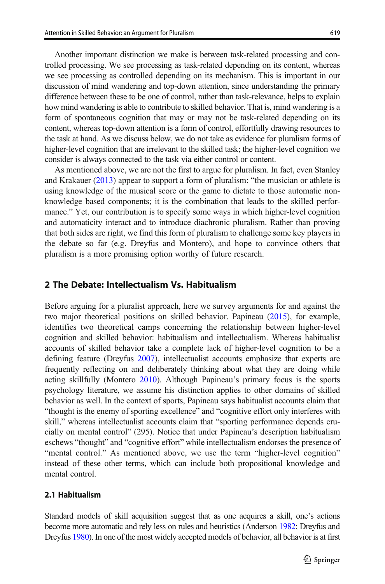Another important distinction we make is between task-related processing and controlled processing. We see processing as task-related depending on its content, whereas we see processing as controlled depending on its mechanism. This is important in our discussion of mind wandering and top-down attention, since understanding the primary difference between these to be one of control, rather than task-relevance, helps to explain how mind wandering is able to contribute to skilled behavior. That is, mind wandering is a form of spontaneous cognition that may or may not be task-related depending on its content, whereas top-down attention is a form of control, effortfully drawing resources to the task at hand. As we discuss below, we do not take as evidence for pluralism forms of higher-level cognition that are irrelevant to the skilled task; the higher-level cognition we consider is always connected to the task via either control or content.

As mentioned above, we are not the first to argue for pluralism. In fact, even Stanley and Krakauer ([2013](#page-23-0)) appear to support a form of pluralism: "the musician or athlete is using knowledge of the musical score or the game to dictate to those automatic nonknowledge based components; it is the combination that leads to the skilled performance." Yet, our contribution is to specify some ways in which higher-level cognition and automaticity interact and to introduce diachronic pluralism. Rather than proving that both sides are right, we find this form of pluralism to challenge some key players in the debate so far (e.g. Dreyfus and Montero), and hope to convince others that pluralism is a more promising option worthy of future research.

## 2 The Debate: Intellectualism Vs. Habitualism

Before arguing for a pluralist approach, here we survey arguments for and against the two major theoretical positions on skilled behavior. Papineau [\(2015\)](#page-22-0), for example, identifies two theoretical camps concerning the relationship between higher-level cognition and skilled behavior: habitualism and intellectualism. Whereas habitualist accounts of skilled behavior take a complete lack of higher-level cognition to be a defining feature (Dreyfus [2007\)](#page-21-0), intellectualist accounts emphasize that experts are frequently reflecting on and deliberately thinking about what they are doing while acting skillfully (Montero [2010](#page-22-0)). Although Papineau's primary focus is the sports psychology literature, we assume his distinction applies to other domains of skilled behavior as well. In the context of sports, Papineau says habitualist accounts claim that "thought is the enemy of sporting excellence" and "cognitive effort only interferes with skill," whereas intellectualist accounts claim that "sporting performance depends crucially on mental control" (295). Notice that under Papineau's description habitualism eschews "thought" and "cognitive effort" while intellectualism endorses the presence of "mental control." As mentioned above, we use the term "higher-level cognition" instead of these other terms, which can include both propositional knowledge and mental control.

#### 2.1 Habitualism

Standard models of skill acquisition suggest that as one acquires a skill, one's actions become more automatic and rely less on rules and heuristics (Anderson [1982](#page-20-0); Dreyfus and Dreyfus [1980](#page-21-0)). In one of the most widely accepted models of behavior, all behavior is at first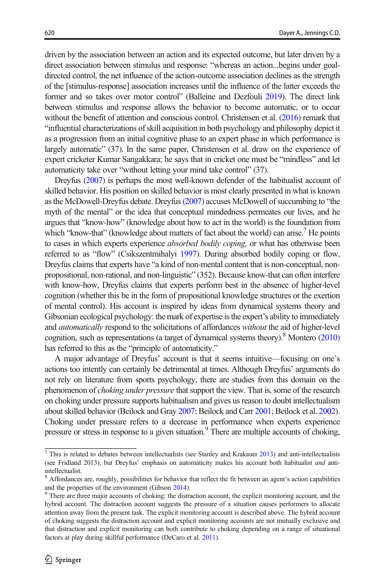driven by the association between an action and its expected outcome, but later driven by a direct association between stimulus and response: "whereas an action...begins under goaldirected control, the net influence of the action-outcome association declines as the strength of the [stimulus-response] association increases until the influence of the latter exceeds the former and so takes over motor control" (Balleine and Dezfouli [2019\)](#page-21-0). The direct link between stimulus and response allows the behavior to become automatic, or to occur without the benefit of attention and conscious control. Christensen et al. [\(2016](#page-21-0)) remark that "influential characterizations of skill acquisition in both psychology and philosophy depict it as a progression from an initial cognitive phase to an expert phase in which performance is largely automatic" (37). In the same paper, Christensen et al. draw on the experience of expert cricketer Kumar Sangakkara; he says that in cricket one must be "mindless" and let automaticity take over "without letting your mind take control" (37).

Dreyfus [\(2007\)](#page-21-0) is perhaps the most well-known defender of the habitualist account of skilled behavior. His position on skilled behavior is most clearly presented in what is known as the McDowell-Dreyfus debate. Dreyfus [\(2007](#page-21-0)) accuses McDowell of succumbing to "the myth of the mental" or the idea that conceptual mindedness permeates our lives, and he argues that "know-how" (knowledge about how to act in the world) is the foundation from which "know-that" (knowledge about matters of fact about the world) can arise.<sup>7</sup> He points to cases in which experts experience *absorbed bodily coping*, or what has otherwise been referred to as "flow" (Csikszentmihalyi [1997](#page-21-0)). During absorbed bodily coping or flow, Dreyfus claims that experts have "a kind of non-mental content that is non-conceptual, nonpropositional, non-rational, and non-linguistic" (352). Because know-that can often interfere with know-how, Dreyfus claims that experts perform best in the absence of higher-level cognition (whether this be in the form of propositional knowledge structures or the exertion of mental control). His account is inspired by ideas from dynamical systems theory and Gibsonian ecological psychology: the mark of expertise is the expert's ability to immediately and *automatically* respond to the solicitations of affordances without the aid of higher-level cognition, such as representations (a target of dynamical systems theory).<sup>8</sup> Montero  $(2010)$  $(2010)$ has referred to this as the "principle of automaticity."

A major advantage of Dreyfus' account is that it seems intuitive—focusing on one's actions too intently can certainly be detrimental at times. Although Dreyfus' arguments do not rely on literature from sports psychology, there are studies from this domain on the phenomenon of *choking under pressure* that support the view. That is, some of the research on choking under pressure supports habitualism and gives us reason to doubt intellectualism about skilled behavior (Beilock and Gray [2007](#page-21-0); Beilock and Carr [2001;](#page-21-0) Beilock et al. [2002\)](#page-21-0). Choking under pressure refers to a decrease in performance when experts experience pressure or stress in response to a given situation.<sup>9</sup> There are multiple accounts of choking,

 $^7$  This is related to debates between intellectualists (see Stanley and Krakauer [2013](#page-23-0)) and anti-intellectualists (see Fridland 2013), but Dreyfus' emphasis on automaticity makes his account both habitualist and antiintellectualist.

<sup>&</sup>lt;sup>8</sup> Affordances are, roughly, possibilities for behavior that reflect the fit between an agent's action capabilities and the properties of the environment (Gibson  $2014$ ).<br><sup>9</sup> There are three major accounts of choking: the distraction account, the explicit monitoring account, and the

hybrid account. The distraction account suggests the pressure of a situation causes performers to allocate attention away from the present task. The explicit monitoring account is described above. The hybrid account of choking suggests the distraction account and explicit monitoring accounts are not mutually exclusive and that distraction and explicit monitoring can both contribute to choking depending on a range of situational factors at play during skillful performance (DeCaro et al. [2011](#page-21-0)).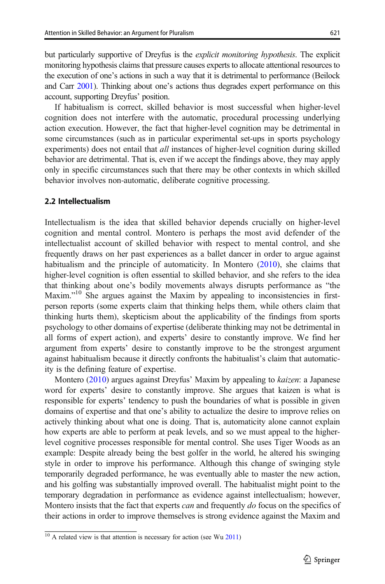but particularly supportive of Dreyfus is the explicit monitoring hypothesis. The explicit monitoring hypothesis claims that pressure causes experts to allocate attentional resources to the execution of one's actions in such a way that it is detrimental to performance (Beilock and Carr [2001\)](#page-21-0). Thinking about one's actions thus degrades expert performance on this account, supporting Dreyfus' position.

If habitualism is correct, skilled behavior is most successful when higher-level cognition does not interfere with the automatic, procedural processing underlying action execution. However, the fact that higher-level cognition may be detrimental in some circumstances (such as in particular experimental set-ups in sports psychology experiments) does not entail that *all* instances of higher-level cognition during skilled behavior are detrimental. That is, even if we accept the findings above, they may apply only in specific circumstances such that there may be other contexts in which skilled behavior involves non-automatic, deliberate cognitive processing.

#### 2.2 Intellectualism

Intellectualism is the idea that skilled behavior depends crucially on higher-level cognition and mental control. Montero is perhaps the most avid defender of the intellectualist account of skilled behavior with respect to mental control, and she frequently draws on her past experiences as a ballet dancer in order to argue against habitualism and the principle of automaticity. In Montero  $(2010)$  $(2010)$  $(2010)$ , she claims that higher-level cognition is often essential to skilled behavior, and she refers to the idea that thinking about one's bodily movements always disrupts performance as "the Maxim."<sup>10</sup> She argues against the Maxim by appealing to inconsistencies in firstperson reports (some experts claim that thinking helps them, while others claim that thinking hurts them), skepticism about the applicability of the findings from sports psychology to other domains of expertise (deliberate thinking may not be detrimental in all forms of expert action), and experts' desire to constantly improve. We find her argument from experts' desire to constantly improve to be the strongest argument against habitualism because it directly confronts the habitualist's claim that automaticity is the defining feature of expertise.

Montero ([2010](#page-22-0)) argues against Dreyfus' Maxim by appealing to kaizen: a Japanese word for experts' desire to constantly improve. She argues that kaizen is what is responsible for experts' tendency to push the boundaries of what is possible in given domains of expertise and that one's ability to actualize the desire to improve relies on actively thinking about what one is doing. That is, automaticity alone cannot explain how experts are able to perform at peak levels, and so we must appeal to the higherlevel cognitive processes responsible for mental control. She uses Tiger Woods as an example: Despite already being the best golfer in the world, he altered his swinging style in order to improve his performance. Although this change of swinging style temporarily degraded performance, he was eventually able to master the new action, and his golfing was substantially improved overall. The habitualist might point to the temporary degradation in performance as evidence against intellectualism; however, Montero insists that the fact that experts *can* and frequently *do* focus on the specifics of their actions in order to improve themselves is strong evidence against the Maxim and

 $10$  A related view is that attention is necessary for action (see Wu [2011\)](#page-23-0)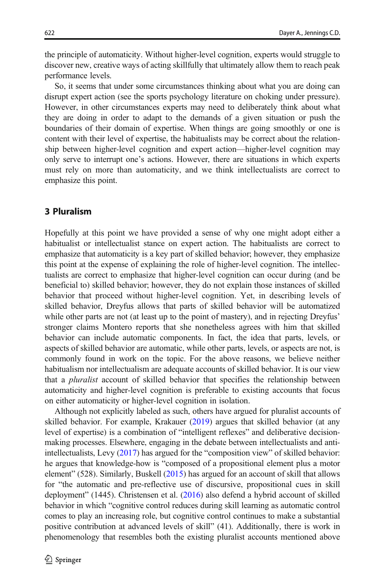the principle of automaticity. Without higher-level cognition, experts would struggle to discover new, creative ways of acting skillfully that ultimately allow them to reach peak performance levels.

So, it seems that under some circumstances thinking about what you are doing can disrupt expert action (see the sports psychology literature on choking under pressure). However, in other circumstances experts may need to deliberately think about what they are doing in order to adapt to the demands of a given situation or push the boundaries of their domain of expertise. When things are going smoothly or one is content with their level of expertise, the habitualists may be correct about the relationship between higher-level cognition and expert action—higher-level cognition may only serve to interrupt one's actions. However, there are situations in which experts must rely on more than automaticity, and we think intellectualists are correct to emphasize this point.

#### 3 Pluralism

Hopefully at this point we have provided a sense of why one might adopt either a habitualist or intellectualist stance on expert action. The habitualists are correct to emphasize that automaticity is a key part of skilled behavior; however, they emphasize this point at the expense of explaining the role of higher-level cognition. The intellectualists are correct to emphasize that higher-level cognition can occur during (and be beneficial to) skilled behavior; however, they do not explain those instances of skilled behavior that proceed without higher-level cognition. Yet, in describing levels of skilled behavior, Dreyfus allows that parts of skilled behavior will be automatized while other parts are not (at least up to the point of mastery), and in rejecting Dreyfus' stronger claims Montero reports that she nonetheless agrees with him that skilled behavior can include automatic components. In fact, the idea that parts, levels, or aspects of skilled behavior are automatic, while other parts, levels, or aspects are not, is commonly found in work on the topic. For the above reasons, we believe neither habitualism nor intellectualism are adequate accounts of skilled behavior. It is our view that a *pluralist* account of skilled behavior that specifies the relationship between automaticity and higher-level cognition is preferable to existing accounts that focus on either automaticity or higher-level cognition in isolation.

Although not explicitly labeled as such, others have argued for pluralist accounts of skilled behavior. For example, Krakauer ([2019](#page-22-0)) argues that skilled behavior (at any level of expertise) is a combination of "intelligent reflexes" and deliberative decisionmaking processes. Elsewhere, engaging in the debate between intellectualists and antiintellectualists, Levy ([2017](#page-22-0)) has argued for the "composition view" of skilled behavior: he argues that knowledge-how is "composed of a propositional element plus a motor element" (528). Similarly, Buskell ([2015](#page-21-0)) has argued for an account of skill that allows for "the automatic and pre-reflective use of discursive, propositional cues in skill deployment" (1445). Christensen et al. [\(2016\)](#page-21-0) also defend a hybrid account of skilled behavior in which "cognitive control reduces during skill learning as automatic control comes to play an increasing role, but cognitive control continues to make a substantial positive contribution at advanced levels of skill" (41). Additionally, there is work in phenomenology that resembles both the existing pluralist accounts mentioned above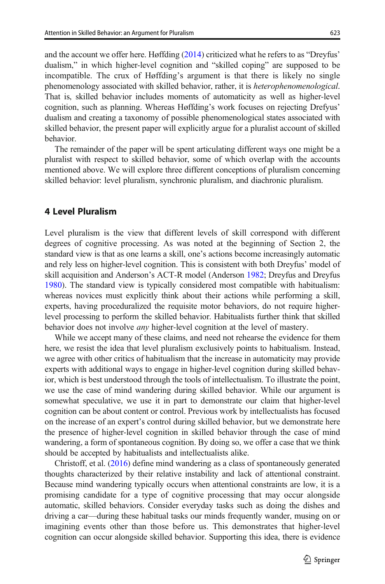and the account we offer here. Høffding [\(2014\)](#page-22-0) criticized what he refers to as "Dreyfus' dualism," in which higher-level cognition and "skilled coping" are supposed to be incompatible. The crux of Høffding's argument is that there is likely no single phenomenology associated with skilled behavior, rather, it is heterophenomenological. That is, skilled behavior includes moments of automaticity as well as higher-level cognition, such as planning. Whereas Høffding's work focuses on rejecting Drefyus' dualism and creating a taxonomy of possible phenomenological states associated with skilled behavior, the present paper will explicitly argue for a pluralist account of skilled behavior.

The remainder of the paper will be spent articulating different ways one might be a pluralist with respect to skilled behavior, some of which overlap with the accounts mentioned above. We will explore three different conceptions of pluralism concerning skilled behavior: level pluralism, synchronic pluralism, and diachronic pluralism.

#### 4 Level Pluralism

Level pluralism is the view that different levels of skill correspond with different degrees of cognitive processing. As was noted at the beginning of Section 2, the standard view is that as one learns a skill, one's actions become increasingly automatic and rely less on higher-level cognition. This is consistent with both Dreyfus' model of skill acquisition and Anderson's ACT-R model (Anderson [1982](#page-20-0); Dreyfus and Dreyfus [1980\)](#page-21-0). The standard view is typically considered most compatible with habitualism: whereas novices must explicitly think about their actions while performing a skill, experts, having proceduralized the requisite motor behaviors, do not require higherlevel processing to perform the skilled behavior. Habitualists further think that skilled behavior does not involve *any* higher-level cognition at the level of mastery.

While we accept many of these claims, and need not rehearse the evidence for them here, we resist the idea that level pluralism exclusively points to habitualism. Instead, we agree with other critics of habitualism that the increase in automaticity may provide experts with additional ways to engage in higher-level cognition during skilled behavior, which is best understood through the tools of intellectualism. To illustrate the point, we use the case of mind wandering during skilled behavior. While our argument is somewhat speculative, we use it in part to demonstrate our claim that higher-level cognition can be about content or control. Previous work by intellectualists has focused on the increase of an expert's control during skilled behavior, but we demonstrate here the presence of higher-level cognition in skilled behavior through the case of mind wandering, a form of spontaneous cognition. By doing so, we offer a case that we think should be accepted by habitualists and intellectualists alike.

Christoff, et al. [\(2016\)](#page-21-0) define mind wandering as a class of spontaneously generated thoughts characterized by their relative instability and lack of attentional constraint. Because mind wandering typically occurs when attentional constraints are low, it is a promising candidate for a type of cognitive processing that may occur alongside automatic, skilled behaviors. Consider everyday tasks such as doing the dishes and driving a car—during these habitual tasks our minds frequently wander, musing on or imagining events other than those before us. This demonstrates that higher-level cognition can occur alongside skilled behavior. Supporting this idea, there is evidence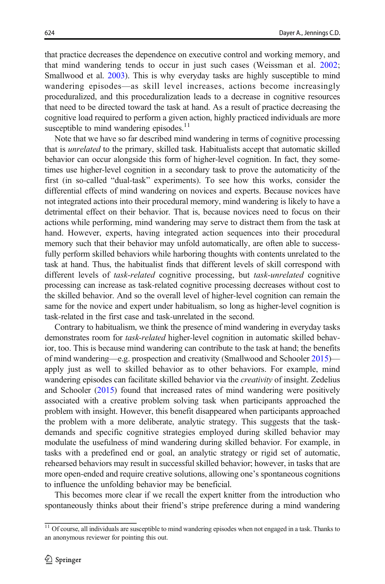that practice decreases the dependence on executive control and working memory, and that mind wandering tends to occur in just such cases (Weissman et al. [2002;](#page-23-0) Smallwood et al. [2003](#page-23-0)). This is why everyday tasks are highly susceptible to mind wandering episodes—as skill level increases, actions become increasingly proceduralized, and this proceduralization leads to a decrease in cognitive resources that need to be directed toward the task at hand. As a result of practice decreasing the cognitive load required to perform a given action, highly practiced individuals are more susceptible to mind wandering episodes. $11$ 

Note that we have so far described mind wandering in terms of cognitive processing that is unrelated to the primary, skilled task. Habitualists accept that automatic skilled behavior can occur alongside this form of higher-level cognition. In fact, they sometimes use higher-level cognition in a secondary task to prove the automaticity of the first (in so-called "dual-task" experiments). To see how this works, consider the differential effects of mind wandering on novices and experts. Because novices have not integrated actions into their procedural memory, mind wandering is likely to have a detrimental effect on their behavior. That is, because novices need to focus on their actions while performing, mind wandering may serve to distract them from the task at hand. However, experts, having integrated action sequences into their procedural memory such that their behavior may unfold automatically, are often able to successfully perform skilled behaviors while harboring thoughts with contents unrelated to the task at hand. Thus, the habitualist finds that different levels of skill correspond with different levels of *task-related* cognitive processing, but *task-unrelated* cognitive processing can increase as task-related cognitive processing decreases without cost to the skilled behavior. And so the overall level of higher-level cognition can remain the same for the novice and expert under habitualism, so long as higher-level cognition is task-related in the first case and task-unrelated in the second.

Contrary to habitualism, we think the presence of mind wandering in everyday tasks demonstrates room for task-related higher-level cognition in automatic skilled behavior, too. This is because mind wandering can contribute to the task at hand; the benefits of mind wandering—e.g. prospection and creativity (Smallwood and Schooler [2015](#page-22-0)) apply just as well to skilled behavior as to other behaviors. For example, mind wandering episodes can facilitate skilled behavior via the *creativity* of insight. Zedelius and Schooler ([2015](#page-23-0)) found that increased rates of mind wandering were positively associated with a creative problem solving task when participants approached the problem with insight. However, this benefit disappeared when participants approached the problem with a more deliberate, analytic strategy. This suggests that the taskdemands and specific cognitive strategies employed during skilled behavior may modulate the usefulness of mind wandering during skilled behavior. For example, in tasks with a predefined end or goal, an analytic strategy or rigid set of automatic, rehearsed behaviors may result in successful skilled behavior; however, in tasks that are more open-ended and require creative solutions, allowing one's spontaneous cognitions to influence the unfolding behavior may be beneficial.

This becomes more clear if we recall the expert knitter from the introduction who spontaneously thinks about their friend's stripe preference during a mind wandering

 $11$  Of course, all individuals are susceptible to mind wandering episodes when not engaged in a task. Thanks to an anonymous reviewer for pointing this out.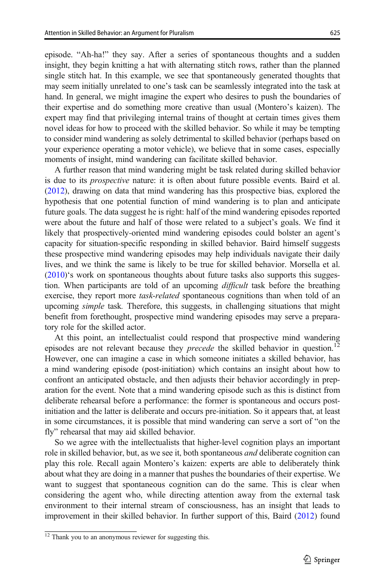episode. "Ah-ha!" they say. After a series of spontaneous thoughts and a sudden insight, they begin knitting a hat with alternating stitch rows, rather than the planned single stitch hat. In this example, we see that spontaneously generated thoughts that may seem initially unrelated to one's task can be seamlessly integrated into the task at hand. In general, we might imagine the expert who desires to push the boundaries of their expertise and do something more creative than usual (Montero's kaizen). The expert may find that privileging internal trains of thought at certain times gives them novel ideas for how to proceed with the skilled behavior. So while it may be tempting to consider mind wandering as solely detrimental to skilled behavior (perhaps based on your experience operating a motor vehicle), we believe that in some cases, especially moments of insight, mind wandering can facilitate skilled behavior.

A further reason that mind wandering might be task related during skilled behavior is due to its prospective nature: it is often about future possible events. Baird et al. [\(2012\)](#page-21-0), drawing on data that mind wandering has this prospective bias, explored the hypothesis that one potential function of mind wandering is to plan and anticipate future goals. The data suggest he is right: half of the mind wandering episodes reported were about the future and half of those were related to a subject's goals. We find it likely that prospectively-oriented mind wandering episodes could bolster an agent's capacity for situation-specific responding in skilled behavior. Baird himself suggests these prospective mind wandering episodes may help individuals navigate their daily lives, and we think the same is likely to be true for skilled behavior. Morsella et al. [\(2010\)](#page-22-0)'s work on spontaneous thoughts about future tasks also supports this suggestion. When participants are told of an upcoming *difficult* task before the breathing exercise, they report more task-related spontaneous cognitions than when told of an upcoming *simple* task. Therefore, this suggests, in challenging situations that might benefit from forethought, prospective mind wandering episodes may serve a preparatory role for the skilled actor.

At this point, an intellectualist could respond that prospective mind wandering episodes are not relevant because they *precede* the skilled behavior in question.<sup>12</sup> However, one can imagine a case in which someone initiates a skilled behavior, has a mind wandering episode (post-initiation) which contains an insight about how to confront an anticipated obstacle, and then adjusts their behavior accordingly in preparation for the event. Note that a mind wandering episode such as this is distinct from deliberate rehearsal before a performance: the former is spontaneous and occurs postinitiation and the latter is deliberate and occurs pre-initiation. So it appears that, at least in some circumstances, it is possible that mind wandering can serve a sort of "on the fly" rehearsal that may aid skilled behavior.

So we agree with the intellectualists that higher-level cognition plays an important role in skilled behavior, but, as we see it, both spontaneous *and* deliberate cognition can play this role. Recall again Montero's kaizen: experts are able to deliberately think about what they are doing in a manner that pushes the boundaries of their expertise. We want to suggest that spontaneous cognition can do the same. This is clear when considering the agent who, while directing attention away from the external task environment to their internal stream of consciousness, has an insight that leads to improvement in their skilled behavior. In further support of this, Baird [\(2012\)](#page-21-0) found

<sup>&</sup>lt;sup>12</sup> Thank you to an anonymous reviewer for suggesting this.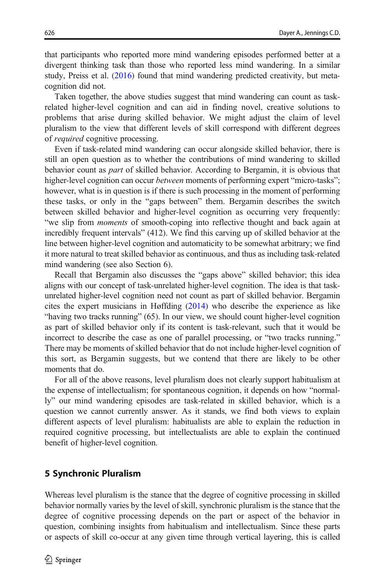that participants who reported more mind wandering episodes performed better at a divergent thinking task than those who reported less mind wandering. In a similar study, Preiss et al. ([2016](#page-22-0)) found that mind wandering predicted creativity, but metacognition did not.

Taken together, the above studies suggest that mind wandering can count as taskrelated higher-level cognition and can aid in finding novel, creative solutions to problems that arise during skilled behavior. We might adjust the claim of level pluralism to the view that different levels of skill correspond with different degrees of required cognitive processing.

Even if task-related mind wandering can occur alongside skilled behavior, there is still an open question as to whether the contributions of mind wandering to skilled behavior count as part of skilled behavior. According to Bergamin, it is obvious that higher-level cognition can occur between moments of performing expert "micro-tasks"; however, what is in question is if there is such processing in the moment of performing these tasks, or only in the "gaps between" them. Bergamin describes the switch between skilled behavior and higher-level cognition as occurring very frequently: "we slip from moments of smooth-coping into reflective thought and back again at incredibly frequent intervals" (412). We find this carving up of skilled behavior at the line between higher-level cognition and automaticity to be somewhat arbitrary; we find it more natural to treat skilled behavior as continuous, and thus as including task-related mind wandering (see also Section 6).

Recall that Bergamin also discusses the "gaps above" skilled behavior; this idea aligns with our concept of task-unrelated higher-level cognition. The idea is that taskunrelated higher-level cognition need not count as part of skilled behavior. Bergamin cites the expert musicians in Høffding [\(2014](#page-22-0)) who describe the experience as like "having two tracks running" (65). In our view, we should count higher-level cognition as part of skilled behavior only if its content is task-relevant, such that it would be incorrect to describe the case as one of parallel processing, or "two tracks running." There may be moments of skilled behavior that do not include higher-level cognition of this sort, as Bergamin suggests, but we contend that there are likely to be other moments that do.

For all of the above reasons, level pluralism does not clearly support habitualism at the expense of intellectualism; for spontaneous cognition, it depends on how "normally" our mind wandering episodes are task-related in skilled behavior, which is a question we cannot currently answer. As it stands, we find both views to explain different aspects of level pluralism: habitualists are able to explain the reduction in required cognitive processing, but intellectualists are able to explain the continued benefit of higher-level cognition.

## 5 Synchronic Pluralism

Whereas level pluralism is the stance that the degree of cognitive processing in skilled behavior normally varies by the level of skill, synchronic pluralism is the stance that the degree of cognitive processing depends on the part or aspect of the behavior in question, combining insights from habitualism and intellectualism. Since these parts or aspects of skill co-occur at any given time through vertical layering, this is called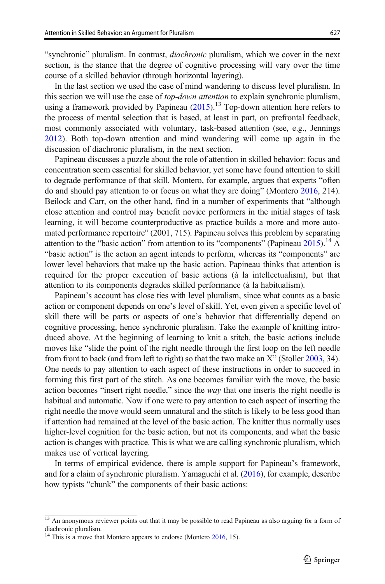"synchronic" pluralism. In contrast, diachronic pluralism, which we cover in the next section, is the stance that the degree of cognitive processing will vary over the time course of a skilled behavior (through horizontal layering).

In the last section we used the case of mind wandering to discuss level pluralism. In this section we will use the case of *top-down attention* to explain synchronic pluralism, using a framework provided by Papineau  $(2015)$ .<sup>13</sup> Top-down attention here refers to the process of mental selection that is based, at least in part, on prefrontal feedback, most commonly associated with voluntary, task-based attention (see, e.g., Jennings [2012\)](#page-22-0). Both top-down attention and mind wandering will come up again in the discussion of diachronic pluralism, in the next section.

Papineau discusses a puzzle about the role of attention in skilled behavior: focus and concentration seem essential for skilled behavior, yet some have found attention to skill to degrade performance of that skill. Montero, for example, argues that experts "often do and should pay attention to or focus on what they are doing" (Montero [2016,](#page-22-0) 214). Beilock and Carr, on the other hand, find in a number of experiments that "although close attention and control may benefit novice performers in the initial stages of task learning, it will become counterproductive as practice builds a more and more automated performance repertoire" (2001, 715). Papineau solves this problem by separating attention to the "basic action" from attention to its "components" (Papineau  $2015$ ).<sup>14</sup> A "basic action" is the action an agent intends to perform, whereas its "components" are lower level behaviors that make up the basic action. Papineau thinks that attention is required for the proper execution of basic actions (à la intellectualism), but that attention to its components degrades skilled performance (à la habitualism).

Papineau's account has close ties with level pluralism, since what counts as a basic action or component depends on one's level of skill. Yet, even given a specific level of skill there will be parts or aspects of one's behavior that differentially depend on cognitive processing, hence synchronic pluralism. Take the example of knitting introduced above. At the beginning of learning to knit a stitch, the basic actions include moves like "slide the point of the right needle through the first loop on the left needle from front to back (and from left to right) so that the two make an X" (Stoller [2003](#page-23-0), 34). One needs to pay attention to each aspect of these instructions in order to succeed in forming this first part of the stitch. As one becomes familiar with the move, the basic action becomes "insert right needle," since the way that one inserts the right needle is habitual and automatic. Now if one were to pay attention to each aspect of inserting the right needle the move would seem unnatural and the stitch is likely to be less good than if attention had remained at the level of the basic action. The knitter thus normally uses higher-level cognition for the basic action, but not its components, and what the basic action is changes with practice. This is what we are calling synchronic pluralism, which makes use of vertical layering.

In terms of empirical evidence, there is ample support for Papineau's framework, and for a claim of synchronic pluralism. Yamaguchi et al. [\(2016](#page-23-0)), for example, describe how typists "chunk" the components of their basic actions:

 $\frac{13}{13}$  An anonymous reviewer points out that it may be possible to read Papineau as also arguing for a form of diachronic pluralism.

<sup>&</sup>lt;sup>14</sup> This is a move that Montero appears to endorse (Montero  $2016$ , 15).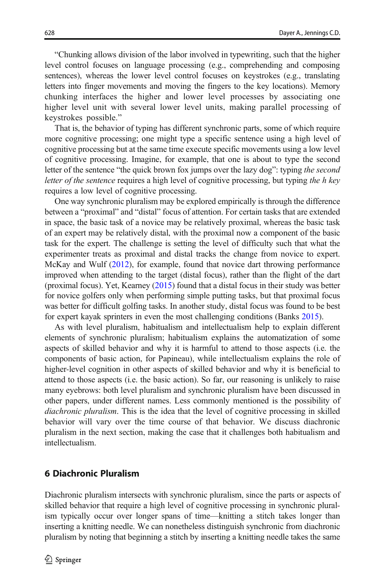"Chunking allows division of the labor involved in typewriting, such that the higher level control focuses on language processing (e.g., comprehending and composing sentences), whereas the lower level control focuses on keystrokes (e.g., translating letters into finger movements and moving the fingers to the key locations). Memory chunking interfaces the higher and lower level processes by associating one higher level unit with several lower level units, making parallel processing of keystrokes possible."

That is, the behavior of typing has different synchronic parts, some of which require more cognitive processing; one might type a specific sentence using a high level of cognitive processing but at the same time execute specific movements using a low level of cognitive processing. Imagine, for example, that one is about to type the second letter of the sentence "the quick brown fox jumps over the lazy dog": typing the second letter of the sentence requires a high level of cognitive processing, but typing the h key requires a low level of cognitive processing.

One way synchronic pluralism may be explored empirically is through the difference between a "proximal" and "distal" focus of attention. For certain tasks that are extended in space, the basic task of a novice may be relatively proximal, whereas the basic task of an expert may be relatively distal, with the proximal now a component of the basic task for the expert. The challenge is setting the level of difficulty such that what the experimenter treats as proximal and distal tracks the change from novice to expert. McKay and Wulf ([2012](#page-22-0)), for example, found that novice dart throwing performance improved when attending to the target (distal focus), rather than the flight of the dart (proximal focus). Yet, Kearney ([2015](#page-22-0)) found that a distal focus in their study was better for novice golfers only when performing simple putting tasks, but that proximal focus was better for difficult golfing tasks. In another study, distal focus was found to be best for expert kayak sprinters in even the most challenging conditions (Banks [2015](#page-21-0)).

As with level pluralism, habitualism and intellectualism help to explain different elements of synchronic pluralism; habitualism explains the automatization of some aspects of skilled behavior and why it is harmful to attend to those aspects (i.e. the components of basic action, for Papineau), while intellectualism explains the role of higher-level cognition in other aspects of skilled behavior and why it is beneficial to attend to those aspects (i.e. the basic action). So far, our reasoning is unlikely to raise many eyebrows: both level pluralism and synchronic pluralism have been discussed in other papers, under different names. Less commonly mentioned is the possibility of diachronic pluralism. This is the idea that the level of cognitive processing in skilled behavior will vary over the time course of that behavior. We discuss diachronic pluralism in the next section, making the case that it challenges both habitualism and intellectualism.

#### 6 Diachronic Pluralism

Diachronic pluralism intersects with synchronic pluralism, since the parts or aspects of skilled behavior that require a high level of cognitive processing in synchronic pluralism typically occur over longer spans of time—knitting a stitch takes longer than inserting a knitting needle. We can nonetheless distinguish synchronic from diachronic pluralism by noting that beginning a stitch by inserting a knitting needle takes the same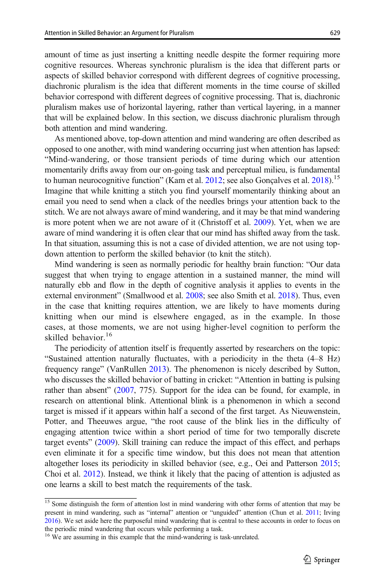amount of time as just inserting a knitting needle despite the former requiring more cognitive resources. Whereas synchronic pluralism is the idea that different parts or aspects of skilled behavior correspond with different degrees of cognitive processing, diachronic pluralism is the idea that different moments in the time course of skilled behavior correspond with different degrees of cognitive processing. That is, diachronic pluralism makes use of horizontal layering, rather than vertical layering, in a manner that will be explained below. In this section, we discuss diachronic pluralism through both attention and mind wandering.

As mentioned above, top-down attention and mind wandering are often described as opposed to one another, with mind wandering occurring just when attention has lapsed: "Mind-wandering, or those transient periods of time during which our attention momentarily drifts away from our on-going task and perceptual milieu, is fundamental to human neurocognitive function" (Kam et al. [2012](#page-22-0); see also Gonçalves et al. [2018](#page-22-0)).<sup>15</sup> Imagine that while knitting a stitch you find yourself momentarily thinking about an email you need to send when a clack of the needles brings your attention back to the stitch. We are not always aware of mind wandering, and it may be that mind wandering is more potent when we are not aware of it (Christoff et al. [2009](#page-21-0)). Yet, when we are aware of mind wandering it is often clear that our mind has shifted away from the task. In that situation, assuming this is not a case of divided attention, we are not using topdown attention to perform the skilled behavior (to knit the stitch).

Mind wandering is seen as normally periodic for healthy brain function: "Our data suggest that when trying to engage attention in a sustained manner, the mind will naturally ebb and flow in the depth of cognitive analysis it applies to events in the external environment" (Smallwood et al. [2008;](#page-23-0) see also Smith et al. [2018](#page-23-0)). Thus, even in the case that knitting requires attention, we are likely to have moments during knitting when our mind is elsewhere engaged, as in the example. In those cases, at those moments, we are not using higher-level cognition to perform the skilled behavior.<sup>16</sup>

The periodicity of attention itself is frequently asserted by researchers on the topic: "Sustained attention naturally fluctuates, with a periodicity in the theta (4–8 Hz) frequency range" (VanRullen [2013\)](#page-23-0). The phenomenon is nicely described by Sutton, who discusses the skilled behavior of batting in cricket: "Attention in batting is pulsing rather than absent" [\(2007,](#page-23-0) 775). Support for the idea can be found, for example, in research on attentional blink. Attentional blink is a phenomenon in which a second target is missed if it appears within half a second of the first target. As Nieuwenstein, Potter, and Theeuwes argue, "the root cause of the blink lies in the difficulty of engaging attention twice within a short period of time for two temporally discrete target events" [\(2009](#page-22-0)). Skill training can reduce the impact of this effect, and perhaps even eliminate it for a specific time window, but this does not mean that attention altogether loses its periodicity in skilled behavior (see, e.g., Oei and Patterson [2015;](#page-22-0) Choi et al. [2012\)](#page-21-0). Instead, we think it likely that the pacing of attention is adjusted as one learns a skill to best match the requirements of the task.

<sup>&</sup>lt;sup>15</sup> Some distinguish the form of attention lost in mind wandering with other forms of attention that may be present in mind wandering, such as "internal" attention or "unguided" attention (Chun et al. [2011;](#page-21-0) Irving [2016\)](#page-22-0). We set aside here the purposeful mind wandering that is central to these accounts in order to focus on the periodic mind wandering that occurs while performing a task.

<sup>&</sup>lt;sup>16</sup> We are assuming in this example that the mind-wandering is task-unrelated.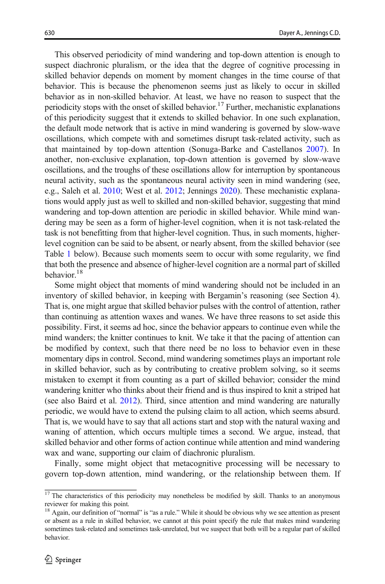This observed periodicity of mind wandering and top-down attention is enough to suspect diachronic pluralism, or the idea that the degree of cognitive processing in skilled behavior depends on moment by moment changes in the time course of that behavior. This is because the phenomenon seems just as likely to occur in skilled behavior as in non-skilled behavior. At least, we have no reason to suspect that the periodicity stops with the onset of skilled behavior.<sup>17</sup> Further, mechanistic explanations of this periodicity suggest that it extends to skilled behavior. In one such explanation, the default mode network that is active in mind wandering is governed by slow-wave oscillations, which compete with and sometimes disrupt task-related activity, such as that maintained by top-down attention (Sonuga-Barke and Castellanos [2007\)](#page-23-0). In another, non-exclusive explanation, top-down attention is governed by slow-wave oscillations, and the troughs of these oscillations allow for interruption by spontaneous neural activity, such as the spontaneous neural activity seen in mind wandering (see, e.g., Saleh et al. [2010](#page-22-0); West et al. [2012](#page-23-0); Jennings [2020\)](#page-22-0). These mechanistic explanations would apply just as well to skilled and non-skilled behavior, suggesting that mind wandering and top-down attention are periodic in skilled behavior. While mind wandering may be seen as a form of higher-level cognition, when it is not task-related the task is not benefitting from that higher-level cognition. Thus, in such moments, higherlevel cognition can be said to be absent, or nearly absent, from the skilled behavior (see Table [1](#page-16-0) below). Because such moments seem to occur with some regularity, we find that both the presence and absence of higher-level cognition are a normal part of skilled behavior.<sup>18</sup>

Some might object that moments of mind wandering should not be included in an inventory of skilled behavior, in keeping with Bergamin's reasoning (see Section 4). That is, one might argue that skilled behavior pulses with the control of attention, rather than continuing as attention waxes and wanes. We have three reasons to set aside this possibility. First, it seems ad hoc, since the behavior appears to continue even while the mind wanders; the knitter continues to knit. We take it that the pacing of attention can be modified by context, such that there need be no loss to behavior even in these momentary dips in control. Second, mind wandering sometimes plays an important role in skilled behavior, such as by contributing to creative problem solving, so it seems mistaken to exempt it from counting as a part of skilled behavior; consider the mind wandering knitter who thinks about their friend and is thus inspired to knit a striped hat (see also Baird et al. [2012\)](#page-21-0). Third, since attention and mind wandering are naturally periodic, we would have to extend the pulsing claim to all action, which seems absurd. That is, we would have to say that all actions start and stop with the natural waxing and waning of attention, which occurs multiple times a second. We argue, instead, that skilled behavior and other forms of action continue while attention and mind wandering wax and wane, supporting our claim of diachronic pluralism.

Finally, some might object that metacognitive processing will be necessary to govern top-down attention, mind wandering, or the relationship between them. If

<sup>&</sup>lt;sup>17</sup> The characteristics of this periodicity may nonetheless be modified by skill. Thanks to an anonymous reviewer for making this point.

<sup>&</sup>lt;sup>18</sup> Again, our definition of "normal" is "as a rule." While it should be obvious why we see attention as present or absent as a rule in skilled behavior, we cannot at this point specify the rule that makes mind wandering sometimes task-related and sometimes task-unrelated, but we suspect that both will be a regular part of skilled behavior.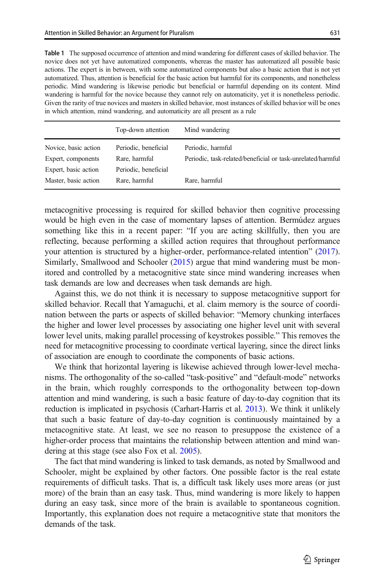<span id="page-16-0"></span>

| <b>Table 1</b> The supposed occurrence of attention and mind wandering for different cases of skilled behavior. The |
|---------------------------------------------------------------------------------------------------------------------|
| novice does not yet have automatized components, whereas the master has automatized all possible basic              |
| actions. The expert is in between, with some automatized components but also a basic action that is not yet         |
| automatized. Thus, attention is beneficial for the basic action but harmful for its components, and nonetheless     |
| periodic. Mind wandering is likewise periodic but beneficial or harmful depending on its content. Mind              |
| wandering is harmful for the novice because they cannot rely on automaticity, yet it is nonetheless periodic.       |
| Given the rarity of true novices and masters in skilled behavior, most instances of skilled behavior will be ones   |
| in which attention, mind wandering, and automaticity are all present as a rule                                      |
|                                                                                                                     |

|                      | Top-down attention   | Mind wandering                                              |
|----------------------|----------------------|-------------------------------------------------------------|
| Novice, basic action | Periodic, beneficial | Periodic, harmful                                           |
| Expert, components   | Rare, harmful        | Periodic, task-related/beneficial or task-unrelated/harmful |
| Expert, basic action | Periodic, beneficial |                                                             |
| Master, basic action | Rare, harmful        | Rare, harmful                                               |

metacognitive processing is required for skilled behavior then cognitive processing would be high even in the case of momentary lapses of attention. Bermúdez argues something like this in a recent paper: "If you are acting skillfully, then you are reflecting, because performing a skilled action requires that throughout performance your attention is structured by a higher-order, performance-related intention" [\(2017\)](#page-21-0). Similarly, Smallwood and Schooler ([2015](#page-22-0)) argue that mind wandering must be monitored and controlled by a metacognitive state since mind wandering increases when task demands are low and decreases when task demands are high.

Against this, we do not think it is necessary to suppose metacognitive support for skilled behavior. Recall that Yamaguchi, et al. claim memory is the source of coordination between the parts or aspects of skilled behavior: "Memory chunking interfaces the higher and lower level processes by associating one higher level unit with several lower level units, making parallel processing of keystrokes possible." This removes the need for metacognitive processing to coordinate vertical layering, since the direct links of association are enough to coordinate the components of basic actions.

We think that horizontal layering is likewise achieved through lower-level mechanisms. The orthogonality of the so-called "task-positive" and "default-mode" networks in the brain, which roughly corresponds to the orthogonality between top-down attention and mind wandering, is such a basic feature of day-to-day cognition that its reduction is implicated in psychosis (Carhart-Harris et al. [2013\)](#page-21-0). We think it unlikely that such a basic feature of day-to-day cognition is continuously maintained by a metacognitive state. At least, we see no reason to presuppose the existence of a higher-order process that maintains the relationship between attention and mind wandering at this stage (see also Fox et al. [2005\)](#page-22-0).

The fact that mind wandering is linked to task demands, as noted by Smallwood and Schooler, might be explained by other factors. One possible factor is the real estate requirements of difficult tasks. That is, a difficult task likely uses more areas (or just more) of the brain than an easy task. Thus, mind wandering is more likely to happen during an easy task, since more of the brain is available to spontaneous cognition. Importantly, this explanation does not require a metacognitive state that monitors the demands of the task.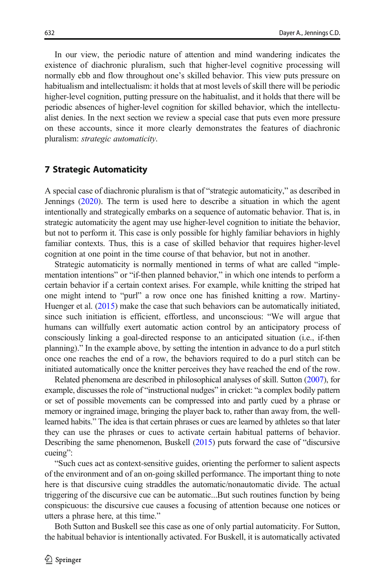In our view, the periodic nature of attention and mind wandering indicates the existence of diachronic pluralism, such that higher-level cognitive processing will normally ebb and flow throughout one's skilled behavior. This view puts pressure on habitualism and intellectualism: it holds that at most levels of skill there will be periodic higher-level cognition, putting pressure on the habitualist, and it holds that there will be periodic absences of higher-level cognition for skilled behavior, which the intellectualist denies. In the next section we review a special case that puts even more pressure on these accounts, since it more clearly demonstrates the features of diachronic pluralism: strategic automaticity.

#### 7 Strategic Automaticity

A special case of diachronic pluralism is that of "strategic automaticity," as described in Jennings [\(2020\)](#page-22-0). The term is used here to describe a situation in which the agent intentionally and strategically embarks on a sequence of automatic behavior. That is, in strategic automaticity the agent may use higher-level cognition to initiate the behavior, but not to perform it. This case is only possible for highly familiar behaviors in highly familiar contexts. Thus, this is a case of skilled behavior that requires higher-level cognition at one point in the time course of that behavior, but not in another.

Strategic automaticity is normally mentioned in terms of what are called "implementation intentions" or "if-then planned behavior," in which one intends to perform a certain behavior if a certain context arises. For example, while knitting the striped hat one might intend to "purl" a row once one has finished knitting a row. Martiny-Huenger et al. ([2015](#page-22-0)) make the case that such behaviors can be automatically initiated, since such initiation is efficient, effortless, and unconscious: "We will argue that humans can willfully exert automatic action control by an anticipatory process of consciously linking a goal-directed response to an anticipated situation (i.e., if-then planning)." In the example above, by setting the intention in advance to do a purl stitch once one reaches the end of a row, the behaviors required to do a purl stitch can be initiated automatically once the knitter perceives they have reached the end of the row.

Related phenomena are described in philosophical analyses of skill. Sutton [\(2007\)](#page-23-0), for example, discusses the role of "instructional nudges" in cricket: "a complex bodily pattern or set of possible movements can be compressed into and partly cued by a phrase or memory or ingrained image, bringing the player back to, rather than away from, the welllearned habits." The idea is that certain phrases or cues are learned by athletes so that later they can use the phrases or cues to activate certain habitual patterns of behavior. Describing the same phenomenon, Buskell [\(2015](#page-21-0)) puts forward the case of "discursive cueing":

"Such cues act as context-sensitive guides, orienting the performer to salient aspects of the environment and of an on-going skilled performance. The important thing to note here is that discursive cuing straddles the automatic/nonautomatic divide. The actual triggering of the discursive cue can be automatic...But such routines function by being conspicuous: the discursive cue causes a focusing of attention because one notices or utters a phrase here, at this time."

Both Sutton and Buskell see this case as one of only partial automaticity. For Sutton, the habitual behavior is intentionally activated. For Buskell, it is automatically activated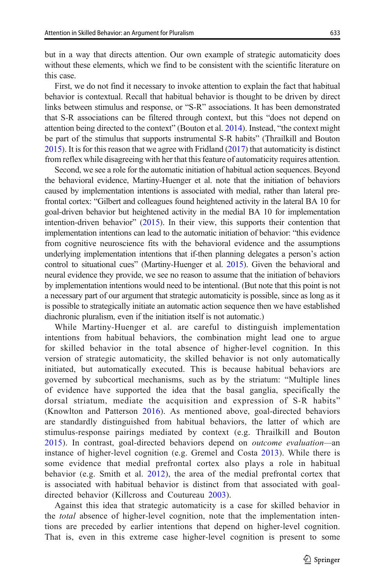but in a way that directs attention. Our own example of strategic automaticity does without these elements, which we find to be consistent with the scientific literature on this case.

First, we do not find it necessary to invoke attention to explain the fact that habitual behavior is contextual. Recall that habitual behavior is thought to be driven by direct links between stimulus and response, or "S-R" associations. It has been demonstrated that S-R associations can be filtered through context, but this "does not depend on attention being directed to the context" (Bouton et al. [2014\)](#page-21-0). Instead, "the context might be part of the stimulus that supports instrumental S-R habits" (Thrailkill and Bouton [2015\)](#page-23-0). It is for this reason that we agree with Fridland [\(2017\)](#page-22-0) that automaticity is distinct from reflex while disagreeing with her that this feature of automaticity requires attention.

Second, we see a role for the automatic initiation of habitual action sequences. Beyond the behavioral evidence, Martiny-Huenger et al. note that the initiation of behaviors caused by implementation intentions is associated with medial, rather than lateral prefrontal cortex: "Gilbert and colleagues found heightened activity in the lateral BA 10 for goal-driven behavior but heightened activity in the medial BA 10 for implementation intention-driven behavior" ([2015](#page-22-0)). In their view, this supports their contention that implementation intentions can lead to the automatic initiation of behavior: "this evidence from cognitive neuroscience fits with the behavioral evidence and the assumptions underlying implementation intentions that if-then planning delegates a person's action control to situational cues" (Martiny-Huenger et al. [2015](#page-22-0)). Given the behavioral and neural evidence they provide, we see no reason to assume that the initiation of behaviors by implementation intentions would need to be intentional. (But note that this point is not a necessary part of our argument that strategic automaticity is possible, since as long as it is possible to strategically initiate an automatic action sequence then we have established diachronic pluralism, even if the initiation itself is not automatic.)

While Martiny-Huenger et al. are careful to distinguish implementation intentions from habitual behaviors, the combination might lead one to argue for skilled behavior in the total absence of higher-level cognition. In this version of strategic automaticity, the skilled behavior is not only automatically initiated, but automatically executed. This is because habitual behaviors are governed by subcortical mechanisms, such as by the striatum: "Multiple lines of evidence have supported the idea that the basal ganglia, specifically the dorsal striatum, mediate the acquisition and expression of S-R habits" (Knowlton and Patterson [2016](#page-22-0)). As mentioned above, goal-directed behaviors are standardly distinguished from habitual behaviors, the latter of which are stimulus-response pairings mediated by context (e.g. Thrailkill and Bouton [2015](#page-23-0)). In contrast, goal-directed behaviors depend on outcome evaluation—an instance of higher-level cognition (e.g. Gremel and Costa [2013\)](#page-22-0). While there is some evidence that medial prefrontal cortex also plays a role in habitual behavior (e.g. Smith et al. [2012\)](#page-23-0), the area of the medial prefrontal cortex that is associated with habitual behavior is distinct from that associated with goaldirected behavior (Killcross and Coutureau [2003](#page-22-0)).

Against this idea that strategic automaticity is a case for skilled behavior in the *total* absence of higher-level cognition, note that the implementation intentions are preceded by earlier intentions that depend on higher-level cognition. That is, even in this extreme case higher-level cognition is present to some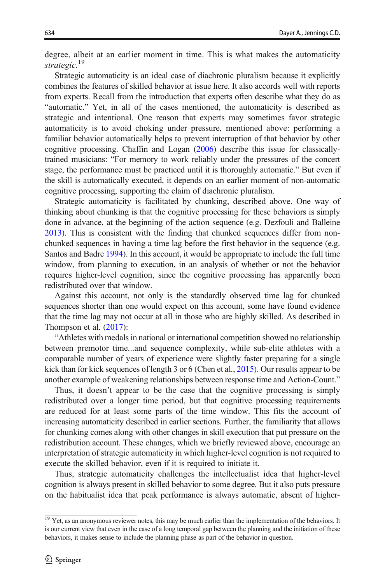degree, albeit at an earlier moment in time. This is what makes the automaticity strategic.<sup>19</sup>

Strategic automaticity is an ideal case of diachronic pluralism because it explicitly combines the features of skilled behavior at issue here. It also accords well with reports from experts. Recall from the introduction that experts often describe what they do as "automatic." Yet, in all of the cases mentioned, the automaticity is described as strategic and intentional. One reason that experts may sometimes favor strategic automaticity is to avoid choking under pressure, mentioned above: performing a familiar behavior automatically helps to prevent interruption of that behavior by other cognitive processing. Chaffin and Logan [\(2006\)](#page-21-0) describe this issue for classicallytrained musicians: "For memory to work reliably under the pressures of the concert stage, the performance must be practiced until it is thoroughly automatic." But even if the skill is automatically executed, it depends on an earlier moment of non-automatic cognitive processing, supporting the claim of diachronic pluralism.

Strategic automaticity is facilitated by chunking, described above. One way of thinking about chunking is that the cognitive processing for these behaviors is simply done in advance, at the beginning of the action sequence (e.g. Dezfouli and Balleine [2013\)](#page-21-0). This is consistent with the finding that chunked sequences differ from nonchunked sequences in having a time lag before the first behavior in the sequence (e.g. Santos and Badre [1994](#page-22-0)). In this account, it would be appropriate to include the full time window, from planning to execution, in an analysis of whether or not the behavior requires higher-level cognition, since the cognitive processing has apparently been redistributed over that window.

Against this account, not only is the standardly observed time lag for chunked sequences shorter than one would expect on this account, some have found evidence that the time lag may not occur at all in those who are highly skilled. As described in Thompson et al. [\(2017\)](#page-23-0):

"Athletes with medals in national or international competition showed no relationship between premotor time...and sequence complexity, while sub-elite athletes with a comparable number of years of experience were slightly faster preparing for a single kick than for kick sequences of length 3 or 6 (Chen et al., [2015\)](#page-21-0). Our results appear to be another example of weakening relationships between response time and Action-Count."

Thus, it doesn't appear to be the case that the cognitive processing is simply redistributed over a longer time period, but that cognitive processing requirements are reduced for at least some parts of the time window. This fits the account of increasing automaticity described in earlier sections. Further, the familiarity that allows for chunking comes along with other changes in skill execution that put pressure on the redistribution account. These changes, which we briefly reviewed above, encourage an interpretation of strategic automaticity in which higher-level cognition is not required to execute the skilled behavior, even if it is required to initiate it.

Thus, strategic automaticity challenges the intellectualist idea that higher-level cognition is always present in skilled behavior to some degree. But it also puts pressure on the habitualist idea that peak performance is always automatic, absent of higher-

 $\frac{19}{19}$  Yet, as an anonymous reviewer notes, this may be much earlier than the implementation of the behaviors. It is our current view that even in the case of a long temporal gap between the planning and the initiation of these behaviors, it makes sense to include the planning phase as part of the behavior in question.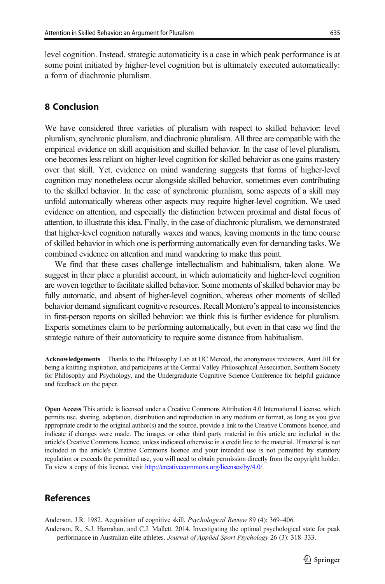<span id="page-20-0"></span>level cognition. Instead, strategic automaticity is a case in which peak performance is at some point initiated by higher-level cognition but is ultimately executed automatically: a form of diachronic pluralism.

### 8 Conclusion

We have considered three varieties of pluralism with respect to skilled behavior: level pluralism, synchronic pluralism, and diachronic pluralism. All three are compatible with the empirical evidence on skill acquisition and skilled behavior. In the case of level pluralism, one becomes less reliant on higher-level cognition for skilled behavior as one gains mastery over that skill. Yet, evidence on mind wandering suggests that forms of higher-level cognition may nonetheless occur alongside skilled behavior, sometimes even contributing to the skilled behavior. In the case of synchronic pluralism, some aspects of a skill may unfold automatically whereas other aspects may require higher-level cognition. We used evidence on attention, and especially the distinction between proximal and distal focus of attention, to illustrate this idea. Finally, in the case of diachronic pluralism, we demonstrated that higher-level cognition naturally waxes and wanes, leaving moments in the time course of skilled behavior in which one is performing automatically even for demanding tasks. We combined evidence on attention and mind wandering to make this point.

We find that these cases challenge intellectualism and habitualism, taken alone. We suggest in their place a pluralist account, in which automaticity and higher-level cognition are woven together to facilitate skilled behavior. Some moments of skilled behavior may be fully automatic, and absent of higher-level cognition, whereas other moments of skilled behavior demand significant cognitive resources. Recall Montero's appeal to inconsistencies in first-person reports on skilled behavior: we think this is further evidence for pluralism. Experts sometimes claim to be performing automatically, but even in that case we find the strategic nature of their automaticity to require some distance from habitualism.

Acknowledgements Thanks to the Philosophy Lab at UC Merced, the anonymous reviewers, Aunt Jill for being a knitting inspiration, and participants at the Central Valley Philosophical Association, Southern Society for Philosophy and Psychology, and the Undergraduate Cognitive Science Conference for helpful guidance and feedback on the paper.

Open Access This article is licensed under a Creative Commons Attribution 4.0 International License, which permits use, sharing, adaptation, distribution and reproduction in any medium or format, as long as you give appropriate credit to the original author(s) and the source, provide a link to the Creative Commons licence, and indicate if changes were made. The images or other third party material in this article are included in the article's Creative Commons licence, unless indicated otherwise in a credit line to the material. If material is not included in the article's Creative Commons licence and your intended use is not permitted by statutory regulation or exceeds the permitted use, you will need to obtain permission directly from the copyright holder. To view a copy of this licence, visit <http://creativecommons.org/licenses/by/4.0/>.

### References

Anderson, J.R. 1982. Acquisition of cognitive skill. Psychological Review 89 (4): 369–406. Anderson, R., S.J. Hanrahan, and C.J. Mallett. 2014. Investigating the optimal psychological state for peak performance in Australian elite athletes. Journal of Applied Sport Psychology 26 (3): 318–333.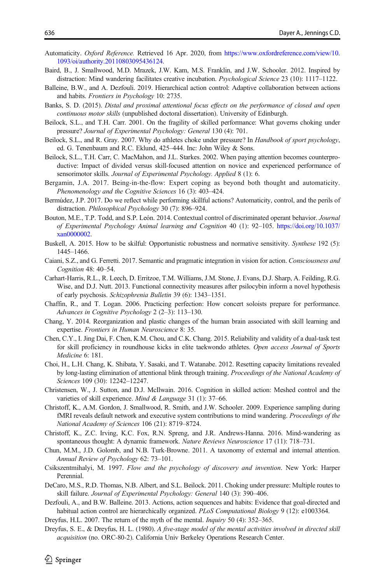- <span id="page-21-0"></span>Automaticity. Oxford Reference. Retrieved 16 Apr. 2020, from [https://www.oxfordreference.com/view/10.](https://www.oxfordreference.com/view/10.1093/oi/authority.20110803095436124) [1093/oi/authority.20110803095436124.](https://www.oxfordreference.com/view/10.1093/oi/authority.20110803095436124)
- Baird, B., J. Smallwood, M.D. Mrazek, J.W. Kam, M.S. Franklin, and J.W. Schooler. 2012. Inspired by distraction: Mind wandering facilitates creative incubation. *Psychological Science* 23 (10): 1117–1122.
- Balleine, B.W., and A. Dezfouli. 2019. Hierarchical action control: Adaptive collaboration between actions and habits. Frontiers in Psychology 10: 2735.
- Banks, S. D. (2015). Distal and proximal attentional focus effects on the performance of closed and open continuous motor skills (unpublished doctoral dissertation). University of Edinburgh.
- Beilock, S.L., and T.H. Carr. 2001. On the fragility of skilled performance: What governs choking under pressure? Journal of Experimental Psychology: General 130 (4): 701.
- Beilock, S.L., and R. Gray. 2007. Why do athletes choke under pressure? In Handbook of sport psychology, ed. G. Tenenbaum and R.C. Eklund, 425–444. Inc: John Wiley & Sons.
- Beilock, S.L., T.H. Carr, C. MacMahon, and J.L. Starkes. 2002. When paying attention becomes counterproductive: Impact of divided versus skill-focused attention on novice and experienced performance of sensorimotor skills. Journal of Experimental Psychology. Applied 8 (1): 6.
- Bergamin, J.A. 2017. Being-in-the-flow: Expert coping as beyond both thought and automaticity. Phenomenology and the Cognitive Sciences 16 (3): 403–424.
- Bermúdez, J.P. 2017. Do we reflect while performing skillful actions? Automaticity, control, and the perils of distraction. Philosophical Psychology 30 (7): 896–924.
- Bouton, M.E., T.P. Todd, and S.P. León. 2014. Contextual control of discriminated operant behavior. Journal of Experimental Psychology Animal learning and Cognition 40 (1): 92–105. [https://doi.org/10.1037/](https://doi.org/10.1037/xan0000002) [xan0000002](https://doi.org/10.1037/xan0000002).
- Buskell, A. 2015. How to be skilful: Opportunistic robustness and normative sensitivity. Synthese 192 (5): 1445–1466.
- Caiani, S.Z., and G. Ferretti. 2017. Semantic and pragmatic integration in vision for action. Consciousness and Cognition 48: 40–54.
- Carhart-Harris, R.L., R. Leech, D. Erritzoe, T.M. Williams, J.M. Stone, J. Evans, D.J. Sharp, A. Feilding, R.G. Wise, and D.J. Nutt. 2013. Functional connectivity measures after psilocybin inform a novel hypothesis of early psychosis. Schizophrenia Bulletin 39 (6): 1343–1351.
- Chaffin, R., and T. Logan. 2006. Practicing perfection: How concert soloists prepare for performance. Advances in Cognitive Psychology 2 (2–3): 113–130.
- Chang, Y. 2014. Reorganization and plastic changes of the human brain associated with skill learning and expertise. Frontiers in Human Neuroscience 8: 35.
- Chen, C.Y., I. Jing Dai, F. Chen, K.M. Chou, and C.K. Chang. 2015. Reliability and validity of a dual-task test for skill proficiency in roundhouse kicks in elite taekwondo athletes. Open access Journal of Sports Medicine 6: 181.
- Choi, H., L.H. Chang, K. Shibata, Y. Sasaki, and T. Watanabe. 2012. Resetting capacity limitations revealed by long-lasting elimination of attentional blink through training. Proceedings of the National Academy of Sciences 109 (30): 12242–12247.
- Christensen, W., J. Sutton, and D.J. McIlwain. 2016. Cognition in skilled action: Meshed control and the varieties of skill experience. Mind & Language 31 (1): 37–66.
- Christoff, K., A.M. Gordon, J. Smallwood, R. Smith, and J.W. Schooler. 2009. Experience sampling during fMRI reveals default network and executive system contributions to mind wandering. Proceedings of the National Academy of Sciences 106 (21): 8719–8724.
- Christoff, K., Z.C. Irving, K.C. Fox, R.N. Spreng, and J.R. Andrews-Hanna. 2016. Mind-wandering as spontaneous thought: A dynamic framework. Nature Reviews Neuroscience 17 (11): 718–731.
- Chun, M.M., J.D. Golomb, and N.B. Turk-Browne. 2011. A taxonomy of external and internal attention. Annual Review of Psychology 62: 73–101.
- Csikszentmihalyi, M. 1997. Flow and the psychology of discovery and invention. New York: Harper Perennial.
- DeCaro, M.S., R.D. Thomas, N.B. Albert, and S.L. Beilock. 2011. Choking under pressure: Multiple routes to skill failure. Journal of Experimental Psychology: General 140 (3): 390–406.
- Dezfouli, A., and B.W. Balleine. 2013. Actions, action sequences and habits: Evidence that goal-directed and habitual action control are hierarchically organized. PLoS Computational Biology 9 (12): e1003364.
- Dreyfus, H.L. 2007. The return of the myth of the mental. Inquiry 50 (4): 352–365.
- Dreyfus, S. E., & Dreyfus, H. L. (1980). A five-stage model of the mental activities involved in directed skill acquisition (no. ORC-80-2). California Univ Berkeley Operations Research Center.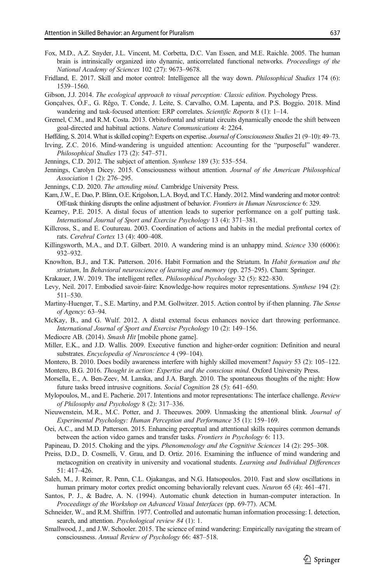- <span id="page-22-0"></span>Fox, M.D., A.Z. Snyder, J.L. Vincent, M. Corbetta, D.C. Van Essen, and M.E. Raichle. 2005. The human brain is intrinsically organized into dynamic, anticorrelated functional networks. Proceedings of the National Academy of Sciences 102 (27): 9673–9678.
- Fridland, E. 2017. Skill and motor control: Intelligence all the way down. *Philosophical Studies* 174 (6): 1539–1560.

Gibson, J.J. 2014. The ecological approach to visual perception: Classic edition. Psychology Press.

- Gonçalves, Ó.F., G. Rêgo, T. Conde, J. Leite, S. Carvalho, O.M. Lapenta, and P.S. Boggio. 2018. Mind wandering and task-focused attention: ERP correlates. Scientific Reports 8 (1): 1–14.
- Gremel, C.M., and R.M. Costa. 2013. Orbitofrontal and striatal circuits dynamically encode the shift between goal-directed and habitual actions. Nature Communications 4: 2264.
- Høffding, S. 2014. What is skilled coping?: Experts on expertise. Journal of Consciousness Studies 21 (9-10): 49-73.
- Irving, Z.C. 2016. Mind-wandering is unguided attention: Accounting for the "purposeful" wanderer. Philosophical Studies 173 (2): 547–571.
- Jennings, C.D. 2012. The subject of attention. Synthese 189 (3): 535–554.
- Jennings, Carolyn Dicey. 2015. Consciousness without attention. Journal of the American Philosophical Association 1 (2): 276–295.
- Jennings, C.D. 2020. The attending mind. Cambridge University Press.
- Kam, J.W., E. Dao, P. Blinn, O.E. Krigolson, L.A. Boyd, and T.C. Handy. 2012. Mind wandering and motor control: Off-task thinking disrupts the online adjustment of behavior. Frontiers in Human Neuroscience 6: 329.
- Kearney, P.E. 2015. A distal focus of attention leads to superior performance on a golf putting task. International Journal of Sport and Exercise Psychology 13 (4): 371–381.
- Killcross, S., and E. Coutureau. 2003. Coordination of actions and habits in the medial prefrontal cortex of rats. Cerebral Cortex 13 (4): 400–408.
- Killingsworth, M.A., and D.T. Gilbert. 2010. A wandering mind is an unhappy mind. Science 330 (6006): 932–932.
- Knowlton, B.J., and T.K. Patterson. 2016. Habit Formation and the Striatum. In Habit formation and the striatum, In Behavioral neuroscience of learning and memory (pp. 275–295). Cham: Springer.

Krakauer, J.W. 2019. The intelligent reflex. Philosophical Psychology 32 (5): 822–830.

- Levy, Neil. 2017. Embodied savoir-faire: Knowledge-how requires motor representations. Synthese 194 (2): 511–530.
- Martiny-Huenger, T., S.E. Martiny, and P.M. Gollwitzer. 2015. Action control by if-then planning. The Sense of Agency: 63–94.
- McKay, B., and G. Wulf. 2012. A distal external focus enhances novice dart throwing performance. International Journal of Sport and Exercise Psychology 10 (2): 149–156.
- Mediocre AB. (2014). Smash Hit [mobile phone game].
- Miller, E.K., and J.D. Wallis. 2009. Executive function and higher-order cognition: Definition and neural substrates. Encyclopedia of Neuroscience 4 (99–104).
- Montero, B. 2010. Does bodily awareness interfere with highly skilled movement? Inquiry 53 (2): 105-122.

Montero, B.G. 2016. Thought in action: Expertise and the conscious mind. Oxford University Press.

- Morsella, E., A. Ben-Zeev, M. Lanska, and J.A. Bargh. 2010. The spontaneous thoughts of the night: How future tasks breed intrusive cognitions. Social Cognition 28 (5): 641–650.
- Mylopoulos, M., and E. Pacherie. 2017. Intentions and motor representations: The interface challenge. Review of Philosophy and Psychology 8 (2): 317–336.
- Nieuwenstein, M.R., M.C. Potter, and J. Theeuwes. 2009. Unmasking the attentional blink. Journal of Experimental Psychology: Human Perception and Performance 35 (1): 159–169.
- Oei, A.C., and M.D. Patterson. 2015. Enhancing perceptual and attentional skills requires common demands between the action video games and transfer tasks. Frontiers in Psychology 6: 113.
- Papineau, D. 2015. Choking and the yips. *Phenomenology and the Cognitive Sciences* 14 (2): 295–308.
- Preiss, D.D., D. Cosmelli, V. Grau, and D. Ortiz. 2016. Examining the influence of mind wandering and metacognition on creativity in university and vocational students. Learning and Individual Differences 51: 417–426.
- Saleh, M., J. Reimer, R. Penn, C.L. Ojakangas, and N.G. Hatsopoulos. 2010. Fast and slow oscillations in human primary motor cortex predict oncoming behaviorally relevant cues. Neuron 65 (4): 461–471.
- Santos, P. J., & Badre, A. N. (1994). Automatic chunk detection in human-computer interaction. In Proceedings of the Workshop on Advanced Visual Interfaces (pp. 69-77). ACM.
- Schneider, W., and R.M. Shiffrin. 1977. Controlled and automatic human information processing: I. detection, search, and attention. *Psychological review 84* (1): 1.
- Smallwood, J., and J.W. Schooler. 2015. The science of mind wandering: Empirically navigating the stream of consciousness. Annual Review of Psychology 66: 487–518.